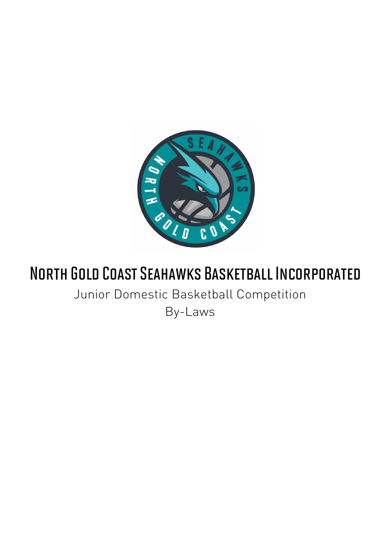

# North Gold Coast Seahawks Basketball Incorporated

Junior Domestic Basketball Competition

By-Laws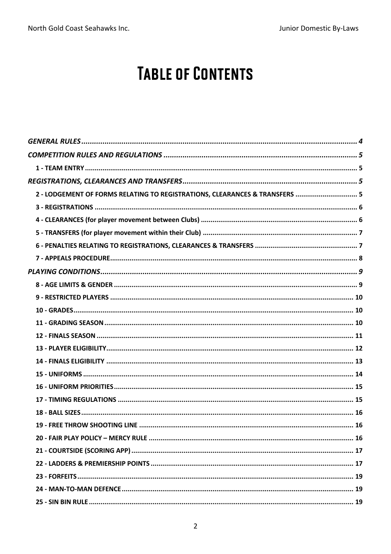# **TABLE OF CONTENTS**

| 2 - LODGEMENT OF FORMS RELATING TO REGISTRATIONS, CLEARANCES & TRANSFERS  5 |  |
|-----------------------------------------------------------------------------|--|
|                                                                             |  |
|                                                                             |  |
|                                                                             |  |
|                                                                             |  |
|                                                                             |  |
|                                                                             |  |
|                                                                             |  |
|                                                                             |  |
|                                                                             |  |
|                                                                             |  |
|                                                                             |  |
|                                                                             |  |
|                                                                             |  |
|                                                                             |  |
|                                                                             |  |
|                                                                             |  |
|                                                                             |  |
|                                                                             |  |
|                                                                             |  |
|                                                                             |  |
|                                                                             |  |
|                                                                             |  |
|                                                                             |  |
|                                                                             |  |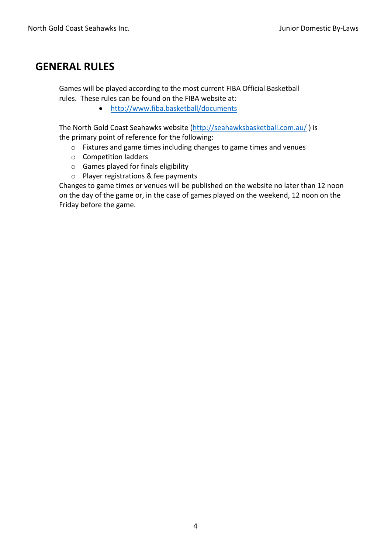#### **GENERAL RULES**

Games will be played according to the most current FIBA Official Basketball rules. These rules can be found on the FIBA website at:

• http://www.fiba.basketball/documents

The North Gold Coast Seahawks website (http://seahawksbasketball.com.au/ ) is the primary point of reference for the following:

- o Fixtures and game times including changes to game times and venues
- o Competition ladders
- o Games played for finals eligibility
- o Player registrations & fee payments

Changes to game times or venues will be published on the website no later than 12 noon on the day of the game or, in the case of games played on the weekend, 12 noon on the Friday before the game.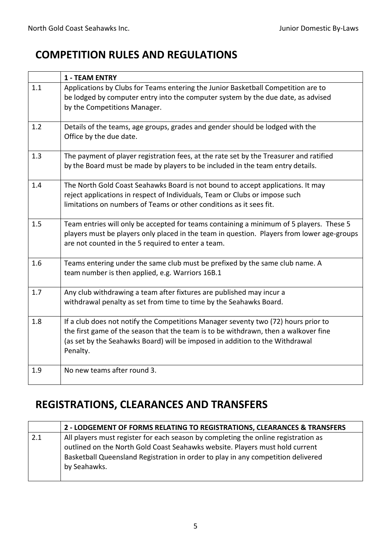## **COMPETITION RULES AND REGULATIONS**

|     | <b>1 - TEAM ENTRY</b>                                                                                                                                                                                                                                                 |
|-----|-----------------------------------------------------------------------------------------------------------------------------------------------------------------------------------------------------------------------------------------------------------------------|
| 1.1 | Applications by Clubs for Teams entering the Junior Basketball Competition are to<br>be lodged by computer entry into the computer system by the due date, as advised<br>by the Competitions Manager.                                                                 |
| 1.2 | Details of the teams, age groups, grades and gender should be lodged with the<br>Office by the due date.                                                                                                                                                              |
| 1.3 | The payment of player registration fees, at the rate set by the Treasurer and ratified<br>by the Board must be made by players to be included in the team entry details.                                                                                              |
| 1.4 | The North Gold Coast Seahawks Board is not bound to accept applications. It may<br>reject applications in respect of Individuals, Team or Clubs or impose such<br>limitations on numbers of Teams or other conditions as it sees fit.                                 |
| 1.5 | Team entries will only be accepted for teams containing a minimum of 5 players. These 5<br>players must be players only placed in the team in question. Players from lower age-groups<br>are not counted in the 5 required to enter a team.                           |
| 1.6 | Teams entering under the same club must be prefixed by the same club name. A<br>team number is then applied, e.g. Warriors 16B.1                                                                                                                                      |
| 1.7 | Any club withdrawing a team after fixtures are published may incur a<br>withdrawal penalty as set from time to time by the Seahawks Board.                                                                                                                            |
| 1.8 | If a club does not notify the Competitions Manager seventy two (72) hours prior to<br>the first game of the season that the team is to be withdrawn, then a walkover fine<br>(as set by the Seahawks Board) will be imposed in addition to the Withdrawal<br>Penalty. |
| 1.9 | No new teams after round 3.                                                                                                                                                                                                                                           |

## **REGISTRATIONS, CLEARANCES AND TRANSFERS**

|     | 2 - LODGEMENT OF FORMS RELATING TO REGISTRATIONS, CLEARANCES & TRANSFERS                                                                                           |
|-----|--------------------------------------------------------------------------------------------------------------------------------------------------------------------|
| 2.1 | All players must register for each season by completing the online registration as<br>outlined on the North Gold Coast Seahawks website. Players must hold current |
|     | Basketball Queensland Registration in order to play in any competition delivered                                                                                   |
|     | by Seahawks.                                                                                                                                                       |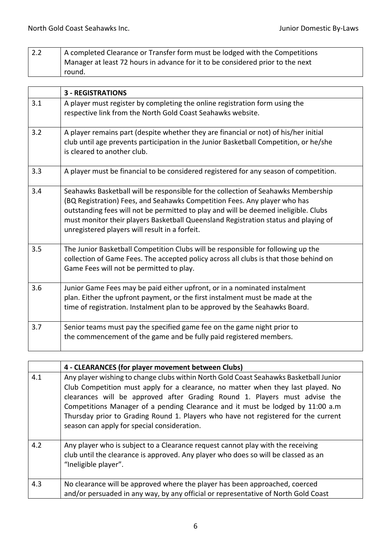| 2.2 | A completed Clearance or Transfer form must be lodged with the Competitions    |
|-----|--------------------------------------------------------------------------------|
|     | Manager at least 72 hours in advance for it to be considered prior to the next |
|     | round.                                                                         |

|     | <b>3 - REGISTRATIONS</b>                                                                                                                                                                                                                                                                                                                                                                       |
|-----|------------------------------------------------------------------------------------------------------------------------------------------------------------------------------------------------------------------------------------------------------------------------------------------------------------------------------------------------------------------------------------------------|
| 3.1 | A player must register by completing the online registration form using the<br>respective link from the North Gold Coast Seahawks website.                                                                                                                                                                                                                                                     |
| 3.2 | A player remains part (despite whether they are financial or not) of his/her initial<br>club until age prevents participation in the Junior Basketball Competition, or he/she<br>is cleared to another club.                                                                                                                                                                                   |
| 3.3 | A player must be financial to be considered registered for any season of competition.                                                                                                                                                                                                                                                                                                          |
| 3.4 | Seahawks Basketball will be responsible for the collection of Seahawks Membership<br>(BQ Registration) Fees, and Seahawks Competition Fees. Any player who has<br>outstanding fees will not be permitted to play and will be deemed ineligible. Clubs<br>must monitor their players Basketball Queensland Registration status and playing of<br>unregistered players will result in a forfeit. |
| 3.5 | The Junior Basketball Competition Clubs will be responsible for following up the<br>collection of Game Fees. The accepted policy across all clubs is that those behind on<br>Game Fees will not be permitted to play.                                                                                                                                                                          |
| 3.6 | Junior Game Fees may be paid either upfront, or in a nominated instalment<br>plan. Either the upfront payment, or the first instalment must be made at the<br>time of registration. Instalment plan to be approved by the Seahawks Board.                                                                                                                                                      |
| 3.7 | Senior teams must pay the specified game fee on the game night prior to<br>the commencement of the game and be fully paid registered members.                                                                                                                                                                                                                                                  |

|     | 4 - CLEARANCES (for player movement between Clubs)                                                                                                                                                                                                                                                                                                                                                                                                                             |
|-----|--------------------------------------------------------------------------------------------------------------------------------------------------------------------------------------------------------------------------------------------------------------------------------------------------------------------------------------------------------------------------------------------------------------------------------------------------------------------------------|
| 4.1 | Any player wishing to change clubs within North Gold Coast Seahawks Basketball Junior<br>Club Competition must apply for a clearance, no matter when they last played. No<br>clearances will be approved after Grading Round 1. Players must advise the<br>Competitions Manager of a pending Clearance and it must be lodged by 11:00 a.m<br>Thursday prior to Grading Round 1. Players who have not registered for the current<br>season can apply for special consideration. |
| 4.2 | Any player who is subject to a Clearance request cannot play with the receiving<br>club until the clearance is approved. Any player who does so will be classed as an<br>"Ineligible player".                                                                                                                                                                                                                                                                                  |
| 4.3 | No clearance will be approved where the player has been approached, coerced<br>and/or persuaded in any way, by any official or representative of North Gold Coast                                                                                                                                                                                                                                                                                                              |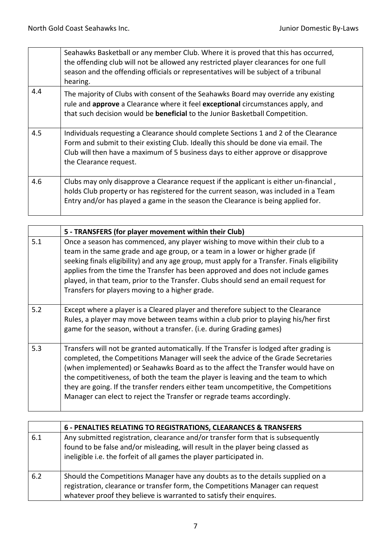|     | Seahawks Basketball or any member Club. Where it is proved that this has occurred,<br>the offending club will not be allowed any restricted player clearances for one full<br>season and the offending officials or representatives will be subject of a tribunal<br>hearing.            |
|-----|------------------------------------------------------------------------------------------------------------------------------------------------------------------------------------------------------------------------------------------------------------------------------------------|
| 4.4 | The majority of Clubs with consent of the Seahawks Board may override any existing<br>rule and approve a Clearance where it feel exceptional circumstances apply, and<br>that such decision would be <b>beneficial</b> to the Junior Basketball Competition.                             |
| 4.5 | Individuals requesting a Clearance should complete Sections 1 and 2 of the Clearance<br>Form and submit to their existing Club. Ideally this should be done via email. The<br>Club will then have a maximum of 5 business days to either approve or disapprove<br>the Clearance request. |
| 4.6 | Clubs may only disapprove a Clearance request if the applicant is either un-financial,<br>holds Club property or has registered for the current season, was included in a Team<br>Entry and/or has played a game in the season the Clearance is being applied for.                       |

|     | 5 - TRANSFERS (for player movement within their Club)                                                                                                                                                                                                                                                                                                                                                                                                                                                                  |
|-----|------------------------------------------------------------------------------------------------------------------------------------------------------------------------------------------------------------------------------------------------------------------------------------------------------------------------------------------------------------------------------------------------------------------------------------------------------------------------------------------------------------------------|
| 5.1 | Once a season has commenced, any player wishing to move within their club to a<br>team in the same grade and age group, or a team in a lower or higher grade (if<br>seeking finals eligibility) and any age group, must apply for a Transfer. Finals eligibility<br>applies from the time the Transfer has been approved and does not include games<br>played, in that team, prior to the Transfer. Clubs should send an email request for<br>Transfers for players moving to a higher grade.                          |
| 5.2 | Except where a player is a Cleared player and therefore subject to the Clearance<br>Rules, a player may move between teams within a club prior to playing his/her first<br>game for the season, without a transfer. (i.e. during Grading games)                                                                                                                                                                                                                                                                        |
| 5.3 | Transfers will not be granted automatically. If the Transfer is lodged after grading is<br>completed, the Competitions Manager will seek the advice of the Grade Secretaries<br>(when implemented) or Seahawks Board as to the affect the Transfer would have on<br>the competitiveness, of both the team the player is leaving and the team to which<br>they are going. If the transfer renders either team uncompetitive, the Competitions<br>Manager can elect to reject the Transfer or regrade teams accordingly. |

|     | 6 - PENALTIES RELATING TO REGISTRATIONS, CLEARANCES & TRANSFERS                                                                                                                                                                            |
|-----|--------------------------------------------------------------------------------------------------------------------------------------------------------------------------------------------------------------------------------------------|
| 6.1 | Any submitted registration, clearance and/or transfer form that is subsequently<br>found to be false and/or misleading, will result in the player being classed as<br>ineligible i.e. the forfeit of all games the player participated in. |
| 6.2 | Should the Competitions Manager have any doubts as to the details supplied on a<br>registration, clearance or transfer form, the Competitions Manager can request<br>whatever proof they believe is warranted to satisfy their enquires.   |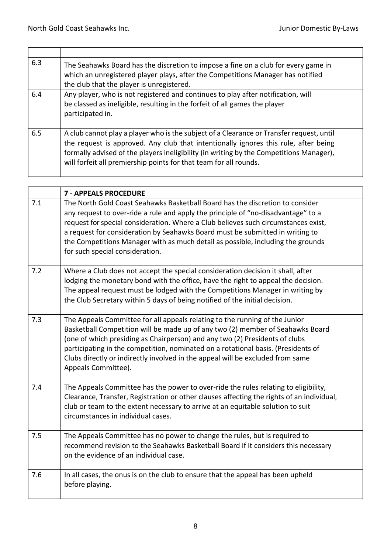$\blacksquare$ 

| 6.3 | The Seahawks Board has the discretion to impose a fine on a club for every game in<br>which an unregistered player plays, after the Competitions Manager has notified<br>the club that the player is unregistered.                                                                                                                              |
|-----|-------------------------------------------------------------------------------------------------------------------------------------------------------------------------------------------------------------------------------------------------------------------------------------------------------------------------------------------------|
| 6.4 | Any player, who is not registered and continues to play after notification, will<br>be classed as ineligible, resulting in the forfeit of all games the player<br>participated in.                                                                                                                                                              |
| 6.5 | A club cannot play a player who is the subject of a Clearance or Transfer request, until<br>the request is approved. Any club that intentionally ignores this rule, after being<br>formally advised of the players ineligibility (in writing by the Competitions Manager),<br>will forfeit all premiership points for that team for all rounds. |

|     | <b>7 - APPEALS PROCEDURE</b>                                                                                                                                                                                                                                                                                                                                                                                                                                    |
|-----|-----------------------------------------------------------------------------------------------------------------------------------------------------------------------------------------------------------------------------------------------------------------------------------------------------------------------------------------------------------------------------------------------------------------------------------------------------------------|
| 7.1 | The North Gold Coast Seahawks Basketball Board has the discretion to consider<br>any request to over-ride a rule and apply the principle of "no-disadvantage" to a<br>request for special consideration. Where a Club believes such circumstances exist,<br>a request for consideration by Seahawks Board must be submitted in writing to<br>the Competitions Manager with as much detail as possible, including the grounds<br>for such special consideration. |
| 7.2 | Where a Club does not accept the special consideration decision it shall, after<br>lodging the monetary bond with the office, have the right to appeal the decision.<br>The appeal request must be lodged with the Competitions Manager in writing by<br>the Club Secretary within 5 days of being notified of the initial decision.                                                                                                                            |
| 7.3 | The Appeals Committee for all appeals relating to the running of the Junior<br>Basketball Competition will be made up of any two (2) member of Seahawks Board<br>(one of which presiding as Chairperson) and any two (2) Presidents of clubs<br>participating in the competition, nominated on a rotational basis. (Presidents of<br>Clubs directly or indirectly involved in the appeal will be excluded from same<br>Appeals Committee).                      |
| 7.4 | The Appeals Committee has the power to over-ride the rules relating to eligibility,<br>Clearance, Transfer, Registration or other clauses affecting the rights of an individual,<br>club or team to the extent necessary to arrive at an equitable solution to suit<br>circumstances in individual cases.                                                                                                                                                       |
| 7.5 | The Appeals Committee has no power to change the rules, but is required to<br>recommend revision to the Seahawks Basketball Board if it considers this necessary<br>on the evidence of an individual case.                                                                                                                                                                                                                                                      |
| 7.6 | In all cases, the onus is on the club to ensure that the appeal has been upheld<br>before playing.                                                                                                                                                                                                                                                                                                                                                              |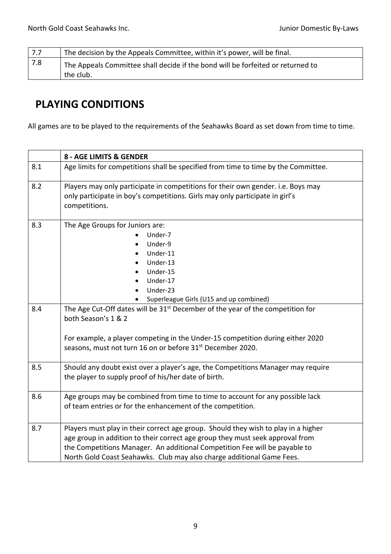| 7.7 | The decision by the Appeals Committee, within it's power, will be final.                     |
|-----|----------------------------------------------------------------------------------------------|
| 7.8 | The Appeals Committee shall decide if the bond will be forfeited or returned to<br>the club. |

## **PLAYING CONDITIONS**

All games are to be played to the requirements of the Seahawks Board as set down from time to time.

|     | 8 - AGE LIMITS & GENDER                                                                                                                                                                                                                                                                                                    |
|-----|----------------------------------------------------------------------------------------------------------------------------------------------------------------------------------------------------------------------------------------------------------------------------------------------------------------------------|
| 8.1 | Age limits for competitions shall be specified from time to time by the Committee.                                                                                                                                                                                                                                         |
| 8.2 | Players may only participate in competitions for their own gender. i.e. Boys may<br>only participate in boy's competitions. Girls may only participate in girl's<br>competitions.                                                                                                                                          |
| 8.3 | The Age Groups for Juniors are:<br>Under-7<br>Under-9<br>Under-11<br>Under-13<br>Under-15<br>Under-17<br>Under-23<br>Superleague Girls (U15 and up combined)                                                                                                                                                               |
| 8.4 | The Age Cut-Off dates will be 31 <sup>st</sup> December of the year of the competition for<br>both Season's 1 & 2<br>For example, a player competing in the Under-15 competition during either 2020<br>seasons, must not turn 16 on or before 31 <sup>st</sup> December 2020.                                              |
| 8.5 | Should any doubt exist over a player's age, the Competitions Manager may require<br>the player to supply proof of his/her date of birth.                                                                                                                                                                                   |
| 8.6 | Age groups may be combined from time to time to account for any possible lack<br>of team entries or for the enhancement of the competition.                                                                                                                                                                                |
| 8.7 | Players must play in their correct age group. Should they wish to play in a higher<br>age group in addition to their correct age group they must seek approval from<br>the Competitions Manager. An additional Competition Fee will be payable to<br>North Gold Coast Seahawks. Club may also charge additional Game Fees. |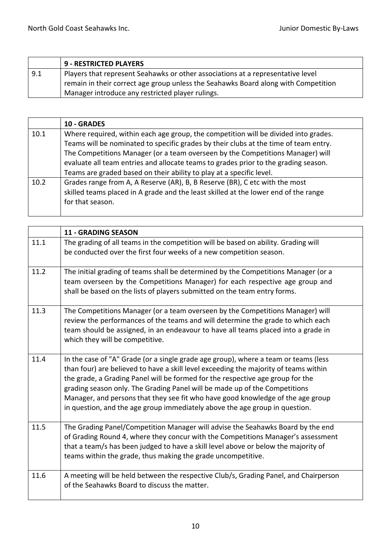|     | <sup>1</sup> 9 - RESTRICTED PLAYERS                                                |
|-----|------------------------------------------------------------------------------------|
| 9.1 | Players that represent Seahawks or other associations at a representative level    |
|     | remain in their correct age group unless the Seahawks Board along with Competition |
|     | Manager introduce any restricted player rulings.                                   |

|      | <b>10 - GRADES</b>                                                                                                                                                                                                                                            |
|------|---------------------------------------------------------------------------------------------------------------------------------------------------------------------------------------------------------------------------------------------------------------|
| 10.1 | Where required, within each age group, the competition will be divided into grades.<br>Teams will be nominated to specific grades by their clubs at the time of team entry.<br>The Competitions Manager (or a team overseen by the Competitions Manager) will |
|      | evaluate all team entries and allocate teams to grades prior to the grading season.<br>Teams are graded based on their ability to play at a specific level.                                                                                                   |
| 10.2 | Grades range from A, A Reserve (AR), B, B Reserve (BR), C etc with the most<br>skilled teams placed in A grade and the least skilled at the lower end of the range<br>for that season.                                                                        |

|      | <b>11 - GRADING SEASON</b>                                                                                                                                                                                                                                                                                                                                                                                                                                                                                    |
|------|---------------------------------------------------------------------------------------------------------------------------------------------------------------------------------------------------------------------------------------------------------------------------------------------------------------------------------------------------------------------------------------------------------------------------------------------------------------------------------------------------------------|
| 11.1 | The grading of all teams in the competition will be based on ability. Grading will<br>be conducted over the first four weeks of a new competition season.                                                                                                                                                                                                                                                                                                                                                     |
| 11.2 | The initial grading of teams shall be determined by the Competitions Manager (or a<br>team overseen by the Competitions Manager) for each respective age group and<br>shall be based on the lists of players submitted on the team entry forms.                                                                                                                                                                                                                                                               |
| 11.3 | The Competitions Manager (or a team overseen by the Competitions Manager) will<br>review the performances of the teams and will determine the grade to which each<br>team should be assigned, in an endeavour to have all teams placed into a grade in<br>which they will be competitive.                                                                                                                                                                                                                     |
| 11.4 | In the case of "A" Grade (or a single grade age group), where a team or teams (less<br>than four) are believed to have a skill level exceeding the majority of teams within<br>the grade, a Grading Panel will be formed for the respective age group for the<br>grading season only. The Grading Panel will be made up of the Competitions<br>Manager, and persons that they see fit who have good knowledge of the age group<br>in question, and the age group immediately above the age group in question. |
| 11.5 | The Grading Panel/Competition Manager will advise the Seahawks Board by the end<br>of Grading Round 4, where they concur with the Competitions Manager's assessment<br>that a team/s has been judged to have a skill level above or below the majority of<br>teams within the grade, thus making the grade uncompetitive.                                                                                                                                                                                     |
| 11.6 | A meeting will be held between the respective Club/s, Grading Panel, and Chairperson<br>of the Seahawks Board to discuss the matter.                                                                                                                                                                                                                                                                                                                                                                          |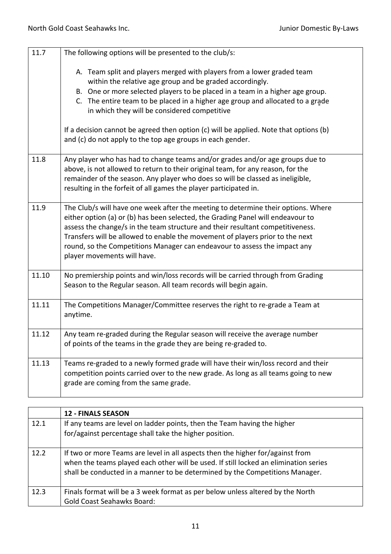| 11.7  | The following options will be presented to the club/s:                                                                                                                                                                                                                                                                                                                                                                                              |
|-------|-----------------------------------------------------------------------------------------------------------------------------------------------------------------------------------------------------------------------------------------------------------------------------------------------------------------------------------------------------------------------------------------------------------------------------------------------------|
|       | A. Team split and players merged with players from a lower graded team<br>within the relative age group and be graded accordingly.<br>B. One or more selected players to be placed in a team in a higher age group.<br>C. The entire team to be placed in a higher age group and allocated to a grade<br>in which they will be considered competitive                                                                                               |
|       | If a decision cannot be agreed then option (c) will be applied. Note that options (b)<br>and (c) do not apply to the top age groups in each gender.                                                                                                                                                                                                                                                                                                 |
| 11.8  | Any player who has had to change teams and/or grades and/or age groups due to<br>above, is not allowed to return to their original team, for any reason, for the<br>remainder of the season. Any player who does so will be classed as ineligible,<br>resulting in the forfeit of all games the player participated in.                                                                                                                             |
| 11.9  | The Club/s will have one week after the meeting to determine their options. Where<br>either option (a) or (b) has been selected, the Grading Panel will endeavour to<br>assess the change/s in the team structure and their resultant competitiveness.<br>Transfers will be allowed to enable the movement of players prior to the next<br>round, so the Competitions Manager can endeavour to assess the impact any<br>player movements will have. |
| 11.10 | No premiership points and win/loss records will be carried through from Grading<br>Season to the Regular season. All team records will begin again.                                                                                                                                                                                                                                                                                                 |
| 11.11 | The Competitions Manager/Committee reserves the right to re-grade a Team at<br>anytime.                                                                                                                                                                                                                                                                                                                                                             |
| 11.12 | Any team re-graded during the Regular season will receive the average number<br>of points of the teams in the grade they are being re-graded to.                                                                                                                                                                                                                                                                                                    |
| 11.13 | Teams re-graded to a newly formed grade will have their win/loss record and their<br>competition points carried over to the new grade. As long as all teams going to new<br>grade are coming from the same grade.                                                                                                                                                                                                                                   |

|      | <b>12 - FINALS SEASON</b>                                                                                                                                                                                                                              |
|------|--------------------------------------------------------------------------------------------------------------------------------------------------------------------------------------------------------------------------------------------------------|
| 12.1 | If any teams are level on ladder points, then the Team having the higher<br>for/against percentage shall take the higher position.                                                                                                                     |
| 12.2 | If two or more Teams are level in all aspects then the higher for/against from<br>when the teams played each other will be used. If still locked an elimination series<br>shall be conducted in a manner to be determined by the Competitions Manager. |
| 12.3 | Finals format will be a 3 week format as per below unless altered by the North<br><b>Gold Coast Seahawks Board:</b>                                                                                                                                    |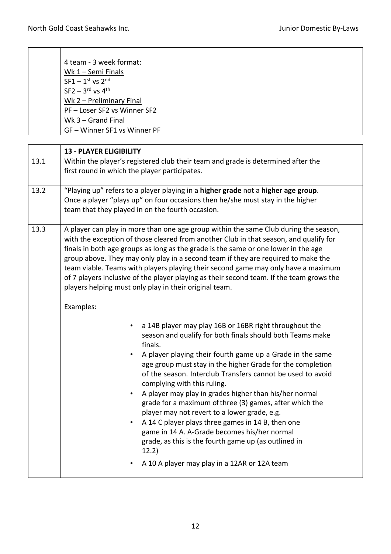| 4 team - 3 week format:      |
|------------------------------|
| Wk 1 - Semi Finals           |
| $SF1 - 1st$ vs $2nd$         |
| $SF2 - 3rd$ vs $4th$         |
| Wk 2 - Preliminary Final     |
| PF - Loser SF2 vs Winner SF2 |
| Wk $3 -$ Grand Final         |
| GF - Winner SF1 vs Winner PF |
|                              |

|      | <b>13 - PLAYER ELIGIBILITY</b>                                                                                                                                                                                                                                                                                                                                                                                                                                                                                                                                                                                                                                                                                                                                                                                                                                                                                                                                                                                                                                                                                                                                                                                                                                                                                                                                                                       |
|------|------------------------------------------------------------------------------------------------------------------------------------------------------------------------------------------------------------------------------------------------------------------------------------------------------------------------------------------------------------------------------------------------------------------------------------------------------------------------------------------------------------------------------------------------------------------------------------------------------------------------------------------------------------------------------------------------------------------------------------------------------------------------------------------------------------------------------------------------------------------------------------------------------------------------------------------------------------------------------------------------------------------------------------------------------------------------------------------------------------------------------------------------------------------------------------------------------------------------------------------------------------------------------------------------------------------------------------------------------------------------------------------------------|
| 13.1 | Within the player's registered club their team and grade is determined after the<br>first round in which the player participates.                                                                                                                                                                                                                                                                                                                                                                                                                                                                                                                                                                                                                                                                                                                                                                                                                                                                                                                                                                                                                                                                                                                                                                                                                                                                    |
| 13.2 | "Playing up" refers to a player playing in a higher grade not a higher age group.<br>Once a player "plays up" on four occasions then he/she must stay in the higher<br>team that they played in on the fourth occasion.                                                                                                                                                                                                                                                                                                                                                                                                                                                                                                                                                                                                                                                                                                                                                                                                                                                                                                                                                                                                                                                                                                                                                                              |
| 13.3 | A player can play in more than one age group within the same Club during the season,<br>with the exception of those cleared from another Club in that season, and qualify for<br>finals in both age groups as long as the grade is the same or one lower in the age<br>group above. They may only play in a second team if they are required to make the<br>team viable. Teams with players playing their second game may only have a maximum<br>of 7 players inclusive of the player playing as their second team. If the team grows the<br>players helping must only play in their original team.<br>Examples:<br>a 14B player may play 16B or 16BR right throughout the<br>$\bullet$<br>season and qualify for both finals should both Teams make<br>finals.<br>A player playing their fourth game up a Grade in the same<br>age group must stay in the higher Grade for the completion<br>of the season. Interclub Transfers cannot be used to avoid<br>complying with this ruling.<br>A player may play in grades higher than his/her normal<br>$\bullet$<br>grade for a maximum of three (3) games, after which the<br>player may not revert to a lower grade, e.g.<br>A 14 C player plays three games in 14 B, then one<br>٠<br>game in 14 A. A-Grade becomes his/her normal<br>grade, as this is the fourth game up (as outlined in<br>12.2)<br>A 10 A player may play in a 12AR or 12A team |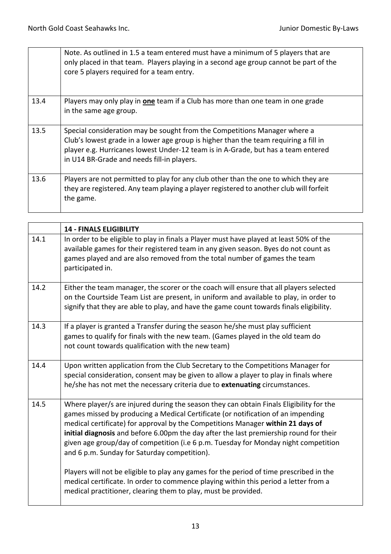|      | Note. As outlined in 1.5 a team entered must have a minimum of 5 players that are<br>only placed in that team. Players playing in a second age group cannot be part of the<br>core 5 players required for a team entry.                                                                              |
|------|------------------------------------------------------------------------------------------------------------------------------------------------------------------------------------------------------------------------------------------------------------------------------------------------------|
| 13.4 | Players may only play in one team if a Club has more than one team in one grade<br>in the same age group.                                                                                                                                                                                            |
| 13.5 | Special consideration may be sought from the Competitions Manager where a<br>Club's lowest grade in a lower age group is higher than the team requiring a fill in<br>player e.g. Hurricanes lowest Under-12 team is in A-Grade, but has a team entered<br>in U14 BR-Grade and needs fill-in players. |
| 13.6 | Players are not permitted to play for any club other than the one to which they are<br>they are registered. Any team playing a player registered to another club will forfeit<br>the game.                                                                                                           |

|      | <b>14 - FINALS ELIGIBILITY</b>                                                                                                                                                                                                                                                                                                                                                                                                                                                                  |
|------|-------------------------------------------------------------------------------------------------------------------------------------------------------------------------------------------------------------------------------------------------------------------------------------------------------------------------------------------------------------------------------------------------------------------------------------------------------------------------------------------------|
| 14.1 | In order to be eligible to play in finals a Player must have played at least 50% of the<br>available games for their registered team in any given season. Byes do not count as<br>games played and are also removed from the total number of games the team<br>participated in.                                                                                                                                                                                                                 |
| 14.2 | Either the team manager, the scorer or the coach will ensure that all players selected<br>on the Courtside Team List are present, in uniform and available to play, in order to<br>signify that they are able to play, and have the game count towards finals eligibility.                                                                                                                                                                                                                      |
| 14.3 | If a player is granted a Transfer during the season he/she must play sufficient<br>games to qualify for finals with the new team. (Games played in the old team do<br>not count towards qualification with the new team)                                                                                                                                                                                                                                                                        |
| 14.4 | Upon written application from the Club Secretary to the Competitions Manager for<br>special consideration, consent may be given to allow a player to play in finals where<br>he/she has not met the necessary criteria due to extenuating circumstances.                                                                                                                                                                                                                                        |
| 14.5 | Where player/s are injured during the season they can obtain Finals Eligibility for the<br>games missed by producing a Medical Certificate (or notification of an impending<br>medical certificate) for approval by the Competitions Manager within 21 days of<br>initial diagnosis and before 6.00pm the day after the last premiership round for their<br>given age group/day of competition (i.e 6 p.m. Tuesday for Monday night competition<br>and 6 p.m. Sunday for Saturday competition). |
|      | Players will not be eligible to play any games for the period of time prescribed in the<br>medical certificate. In order to commence playing within this period a letter from a<br>medical practitioner, clearing them to play, must be provided.                                                                                                                                                                                                                                               |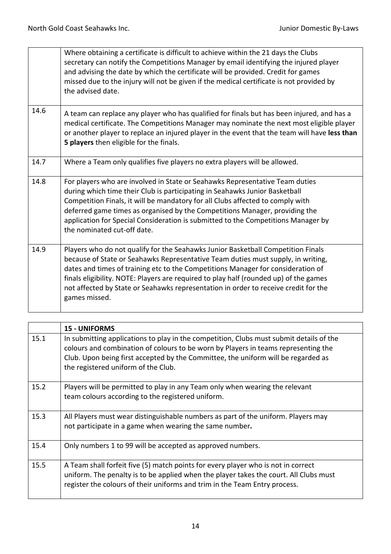|      | Where obtaining a certificate is difficult to achieve within the 21 days the Clubs<br>secretary can notify the Competitions Manager by email identifying the injured player<br>and advising the date by which the certificate will be provided. Credit for games<br>missed due to the injury will not be given if the medical certificate is not provided by<br>the advised date.                                                                         |
|------|-----------------------------------------------------------------------------------------------------------------------------------------------------------------------------------------------------------------------------------------------------------------------------------------------------------------------------------------------------------------------------------------------------------------------------------------------------------|
| 14.6 | A team can replace any player who has qualified for finals but has been injured, and has a<br>medical certificate. The Competitions Manager may nominate the next most eligible player<br>or another player to replace an injured player in the event that the team will have less than<br>5 players then eligible for the finals.                                                                                                                        |
| 14.7 | Where a Team only qualifies five players no extra players will be allowed.                                                                                                                                                                                                                                                                                                                                                                                |
| 14.8 | For players who are involved in State or Seahawks Representative Team duties<br>during which time their Club is participating in Seahawks Junior Basketball<br>Competition Finals, it will be mandatory for all Clubs affected to comply with<br>deferred game times as organised by the Competitions Manager, providing the<br>application for Special Consideration is submitted to the Competitions Manager by<br>the nominated cut-off date.          |
| 14.9 | Players who do not qualify for the Seahawks Junior Basketball Competition Finals<br>because of State or Seahawks Representative Team duties must supply, in writing,<br>dates and times of training etc to the Competitions Manager for consideration of<br>finals eligibility. NOTE: Players are required to play half (rounded up) of the games<br>not affected by State or Seahawks representation in order to receive credit for the<br>games missed. |

|      | <b>15 - UNIFORMS</b>                                                                                                                                                                                                                                                                                      |
|------|-----------------------------------------------------------------------------------------------------------------------------------------------------------------------------------------------------------------------------------------------------------------------------------------------------------|
| 15.1 | In submitting applications to play in the competition, Clubs must submit details of the<br>colours and combination of colours to be worn by Players in teams representing the<br>Club. Upon being first accepted by the Committee, the uniform will be regarded as<br>the registered uniform of the Club. |
| 15.2 | Players will be permitted to play in any Team only when wearing the relevant<br>team colours according to the registered uniform.                                                                                                                                                                         |
| 15.3 | All Players must wear distinguishable numbers as part of the uniform. Players may<br>not participate in a game when wearing the same number.                                                                                                                                                              |
| 15.4 | Only numbers 1 to 99 will be accepted as approved numbers.                                                                                                                                                                                                                                                |
| 15.5 | A Team shall forfeit five (5) match points for every player who is not in correct<br>uniform. The penalty is to be applied when the player takes the court. All Clubs must<br>register the colours of their uniforms and trim in the Team Entry process.                                                  |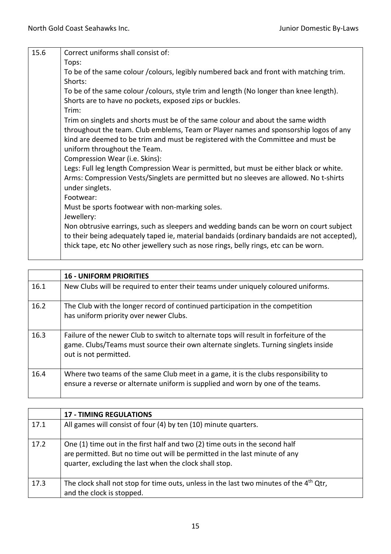| 15.6 | Correct uniforms shall consist of:                                                          |
|------|---------------------------------------------------------------------------------------------|
|      | Tops:                                                                                       |
|      | To be of the same colour / colours, legibly numbered back and front with matching trim.     |
|      | Shorts:                                                                                     |
|      | To be of the same colour / colours, style trim and length (No longer than knee length).     |
|      | Shorts are to have no pockets, exposed zips or buckles.                                     |
|      | Trim:                                                                                       |
|      | Trim on singlets and shorts must be of the same colour and about the same width             |
|      | throughout the team. Club emblems, Team or Player names and sponsorship logos of any        |
|      | kind are deemed to be trim and must be registered with the Committee and must be            |
|      | uniform throughout the Team.                                                                |
|      | Compression Wear (i.e. Skins):                                                              |
|      | Legs: Full leg length Compression Wear is permitted, but must be either black or white.     |
|      | Arms: Compression Vests/Singlets are permitted but no sleeves are allowed. No t-shirts      |
|      | under singlets.                                                                             |
|      | Footwear:                                                                                   |
|      | Must be sports footwear with non-marking soles.                                             |
|      | Jewellery:                                                                                  |
|      | Non obtrusive earrings, such as sleepers and wedding bands can be worn on court subject     |
|      | to their being adequately taped ie, material bandaids (ordinary bandaids are not accepted), |
|      | thick tape, etc No other jewellery such as nose rings, belly rings, etc can be worn.        |
|      |                                                                                             |

|      | <b>16 - UNIFORM PRIORITIES</b>                                                                                                                                                                         |
|------|--------------------------------------------------------------------------------------------------------------------------------------------------------------------------------------------------------|
| 16.1 | New Clubs will be required to enter their teams under uniquely coloured uniforms.                                                                                                                      |
| 16.2 | The Club with the longer record of continued participation in the competition<br>has uniform priority over newer Clubs.                                                                                |
| 16.3 | Failure of the newer Club to switch to alternate tops will result in forfeiture of the<br>game. Clubs/Teams must source their own alternate singlets. Turning singlets inside<br>out is not permitted. |
| 16.4 | Where two teams of the same Club meet in a game, it is the clubs responsibility to<br>ensure a reverse or alternate uniform is supplied and worn by one of the teams.                                  |

|      | <b>17 - TIMING REGULATIONS</b>                                                                                                                                                                                      |
|------|---------------------------------------------------------------------------------------------------------------------------------------------------------------------------------------------------------------------|
| 17.1 | All games will consist of four (4) by ten (10) minute quarters.                                                                                                                                                     |
| 17.2 | One (1) time out in the first half and two (2) time outs in the second half<br>are permitted. But no time out will be permitted in the last minute of any<br>quarter, excluding the last when the clock shall stop. |
| 17.3 | The clock shall not stop for time outs, unless in the last two minutes of the 4 <sup>th</sup> Qtr,<br>and the clock is stopped.                                                                                     |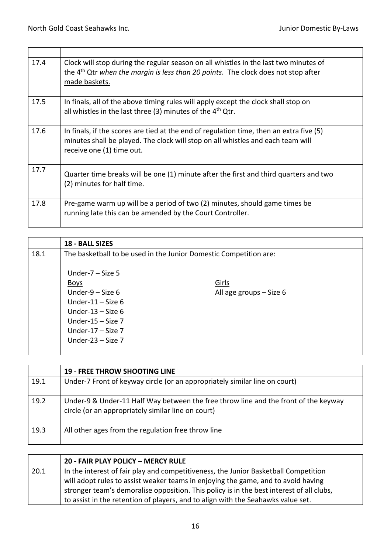| 17.4 | Clock will stop during the regular season on all whistles in the last two minutes of<br>the 4 <sup>th</sup> Qtr when the margin is less than 20 points. The clock does not stop after<br>made baskets.    |
|------|-----------------------------------------------------------------------------------------------------------------------------------------------------------------------------------------------------------|
| 17.5 | In finals, all of the above timing rules will apply except the clock shall stop on<br>all whistles in the last three (3) minutes of the 4 <sup>th</sup> Qtr.                                              |
| 17.6 | In finals, if the scores are tied at the end of regulation time, then an extra five $(5)$<br>minutes shall be played. The clock will stop on all whistles and each team will<br>receive one (1) time out. |
| 17.7 | Quarter time breaks will be one (1) minute after the first and third quarters and two<br>(2) minutes for half time.                                                                                       |
| 17.8 | Pre-game warm up will be a period of two (2) minutes, should game times be<br>running late this can be amended by the Court Controller.                                                                   |

|      | <b>18 - BALL SIZES</b>                                                                                                                                                       |                                                                   |
|------|------------------------------------------------------------------------------------------------------------------------------------------------------------------------------|-------------------------------------------------------------------|
| 18.1 |                                                                                                                                                                              | The basketball to be used in the Junior Domestic Competition are: |
|      | Under- $7 - Size 5$<br><b>Boys</b><br>Under- $9 - Size 6$<br>Under-11 $-$ Size 6<br>Under-13 $-$ Size 6<br>Under-15 $-$ Size 7<br>Under-17 $-$ Size 7<br>Under-23 $-$ Size 7 | Girls<br>All age groups - Size 6                                  |

|      | <b>19 - FREE THROW SHOOTING LINE</b>                                                                                                      |
|------|-------------------------------------------------------------------------------------------------------------------------------------------|
| 19.1 | Under-7 Front of keyway circle (or an appropriately similar line on court)                                                                |
| 19.2 | Under-9 & Under-11 Half Way between the free throw line and the front of the keyway<br>circle (or an appropriately similar line on court) |
| 19.3 | All other ages from the regulation free throw line                                                                                        |

|                                                                                             | 20 - FAIR PLAY POLICY - MERCY RULE                                                       |
|---------------------------------------------------------------------------------------------|------------------------------------------------------------------------------------------|
| In the interest of fair play and competitiveness, the Junior Basketball Competition<br>20.1 |                                                                                          |
|                                                                                             | will adopt rules to assist weaker teams in enjoying the game, and to avoid having        |
|                                                                                             | stronger team's demoralise opposition. This policy is in the best interest of all clubs, |
|                                                                                             | to assist in the retention of players, and to align with the Seahawks value set.         |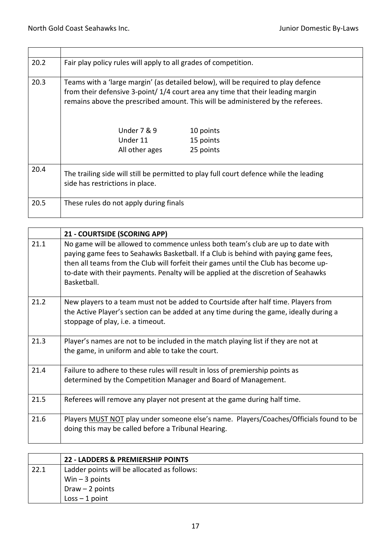| 20.2 | Fair play policy rules will apply to all grades of competition.                                                           |                                                                                                                                                                                                                                                        |
|------|---------------------------------------------------------------------------------------------------------------------------|--------------------------------------------------------------------------------------------------------------------------------------------------------------------------------------------------------------------------------------------------------|
| 20.3 |                                                                                                                           | Teams with a 'large margin' (as detailed below), will be required to play defence<br>from their defensive 3-point/1/4 court area any time that their leading margin<br>remains above the prescribed amount. This will be administered by the referees. |
|      | <b>Under 7 &amp; 9</b>                                                                                                    | 10 points                                                                                                                                                                                                                                              |
|      | Under 11                                                                                                                  | 15 points                                                                                                                                                                                                                                              |
|      | All other ages                                                                                                            | 25 points                                                                                                                                                                                                                                              |
| 20.4 | The trailing side will still be permitted to play full court defence while the leading<br>side has restrictions in place. |                                                                                                                                                                                                                                                        |
| 20.5 | These rules do not apply during finals                                                                                    |                                                                                                                                                                                                                                                        |

|      | 21 - COURTSIDE (SCORING APP)                                                                                                                                                                                                                                                                                                                                       |
|------|--------------------------------------------------------------------------------------------------------------------------------------------------------------------------------------------------------------------------------------------------------------------------------------------------------------------------------------------------------------------|
| 21.1 | No game will be allowed to commence unless both team's club are up to date with<br>paying game fees to Seahawks Basketball. If a Club is behind with paying game fees,<br>then all teams from the Club will forfeit their games until the Club has become up-<br>to-date with their payments. Penalty will be applied at the discretion of Seahawks<br>Basketball. |
| 21.2 | New players to a team must not be added to Courtside after half time. Players from<br>the Active Player's section can be added at any time during the game, ideally during a<br>stoppage of play, i.e. a timeout.                                                                                                                                                  |
| 21.3 | Player's names are not to be included in the match playing list if they are not at<br>the game, in uniform and able to take the court.                                                                                                                                                                                                                             |
| 21.4 | Failure to adhere to these rules will result in loss of premiership points as<br>determined by the Competition Manager and Board of Management.                                                                                                                                                                                                                    |
| 21.5 | Referees will remove any player not present at the game during half time.                                                                                                                                                                                                                                                                                          |
| 21.6 | Players MUST NOT play under someone else's name. Players/Coaches/Officials found to be<br>doing this may be called before a Tribunal Hearing.                                                                                                                                                                                                                      |

|      | 22 - LADDERS & PREMIERSHIP POINTS           |
|------|---------------------------------------------|
| 22.1 | Ladder points will be allocated as follows: |
|      | Win $-3$ points                             |
|      | Draw $-2$ points                            |
|      | $Loss - 1 point$                            |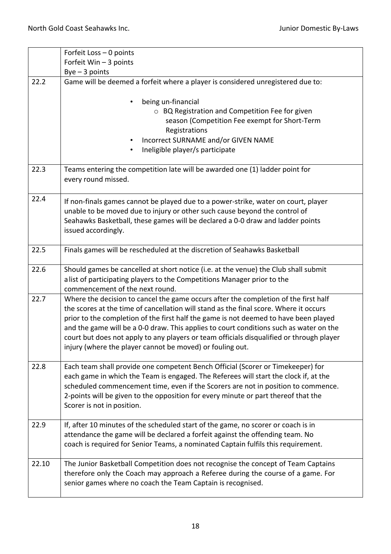|       | Forfeit Loss - 0 points                                                                                                                                                                                                                                                                                                                                                                                                                                                                                                 |  |
|-------|-------------------------------------------------------------------------------------------------------------------------------------------------------------------------------------------------------------------------------------------------------------------------------------------------------------------------------------------------------------------------------------------------------------------------------------------------------------------------------------------------------------------------|--|
|       | Forfeit Win - 3 points                                                                                                                                                                                                                                                                                                                                                                                                                                                                                                  |  |
|       | $Bye-3 points$                                                                                                                                                                                                                                                                                                                                                                                                                                                                                                          |  |
| 22.2  | Game will be deemed a forfeit where a player is considered unregistered due to:                                                                                                                                                                                                                                                                                                                                                                                                                                         |  |
|       | being un-financial<br>○ BQ Registration and Competition Fee for given<br>season (Competition Fee exempt for Short-Term<br>Registrations<br>Incorrect SURNAME and/or GIVEN NAME<br>Ineligible player/s participate                                                                                                                                                                                                                                                                                                       |  |
| 22.3  | Teams entering the competition late will be awarded one (1) ladder point for<br>every round missed.                                                                                                                                                                                                                                                                                                                                                                                                                     |  |
| 22.4  | If non-finals games cannot be played due to a power-strike, water on court, player<br>unable to be moved due to injury or other such cause beyond the control of<br>Seahawks Basketball, these games will be declared a 0-0 draw and ladder points<br>issued accordingly.                                                                                                                                                                                                                                               |  |
| 22.5  | Finals games will be rescheduled at the discretion of Seahawks Basketball                                                                                                                                                                                                                                                                                                                                                                                                                                               |  |
| 22.6  | Should games be cancelled at short notice (i.e. at the venue) the Club shall submit<br>a list of participating players to the Competitions Manager prior to the<br>commencement of the next round.                                                                                                                                                                                                                                                                                                                      |  |
| 22.7  | Where the decision to cancel the game occurs after the completion of the first half<br>the scores at the time of cancellation will stand as the final score. Where it occurs<br>prior to the completion of the first half the game is not deemed to have been played<br>and the game will be a 0-0 draw. This applies to court conditions such as water on the<br>court but does not apply to any players or team officials disqualified or through player<br>injury (where the player cannot be moved) or fouling out. |  |
| 22.8  | Each team shall provide one competent Bench Official (Scorer or Timekeeper) for<br>each game in which the Team is engaged. The Referees will start the clock if, at the<br>scheduled commencement time, even if the Scorers are not in position to commence.<br>2-points will be given to the opposition for every minute or part thereof that the<br>Scorer is not in position.                                                                                                                                        |  |
| 22.9  | If, after 10 minutes of the scheduled start of the game, no scorer or coach is in<br>attendance the game will be declared a forfeit against the offending team. No<br>coach is required for Senior Teams, a nominated Captain fulfils this requirement.                                                                                                                                                                                                                                                                 |  |
| 22.10 | The Junior Basketball Competition does not recognise the concept of Team Captains<br>therefore only the Coach may approach a Referee during the course of a game. For<br>senior games where no coach the Team Captain is recognised.                                                                                                                                                                                                                                                                                    |  |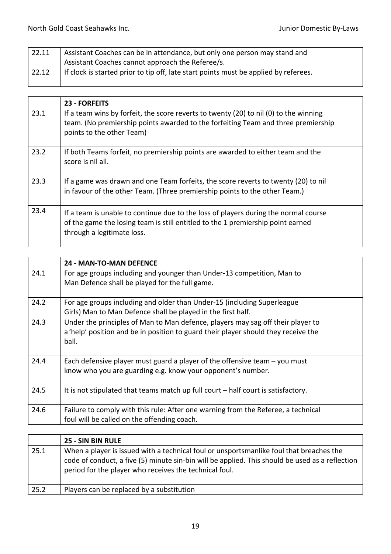| 22.11 | Assistant Coaches can be in attendance, but only one person may stand and<br>Assistant Coaches cannot approach the Referee/s. |
|-------|-------------------------------------------------------------------------------------------------------------------------------|
| 22.12 | If clock is started prior to tip off, late start points must be applied by referees.                                          |

|      | 23 - FORFEITS                                                                                                                                                                                           |
|------|---------------------------------------------------------------------------------------------------------------------------------------------------------------------------------------------------------|
| 23.1 | If a team wins by forfeit, the score reverts to twenty (20) to nil (0) to the winning<br>team. (No premiership points awarded to the forfeiting Team and three premiership<br>points to the other Team) |
| 23.2 | If both Teams forfeit, no premiership points are awarded to either team and the<br>score is nil all.                                                                                                    |
| 23.3 | If a game was drawn and one Team forfeits, the score reverts to twenty (20) to nil<br>in favour of the other Team. (Three premiership points to the other Team.)                                        |
| 23.4 | If a team is unable to continue due to the loss of players during the normal course<br>of the game the losing team is still entitled to the 1 premiership point earned<br>through a legitimate loss.    |

|      | <b>24 - MAN-TO-MAN DEFENCE</b>                                                                                                                                                 |
|------|--------------------------------------------------------------------------------------------------------------------------------------------------------------------------------|
| 24.1 | For age groups including and younger than Under-13 competition, Man to<br>Man Defence shall be played for the full game.                                                       |
| 24.2 | For age groups including and older than Under-15 (including Superleague<br>Girls) Man to Man Defence shall be played in the first half.                                        |
| 24.3 | Under the principles of Man to Man defence, players may sag off their player to<br>a 'help' position and be in position to guard their player should they receive the<br>ball. |
| 24.4 | Each defensive player must guard a player of the offensive team $-$ you must<br>know who you are guarding e.g. know your opponent's number.                                    |
| 24.5 | It is not stipulated that teams match up full court – half court is satisfactory.                                                                                              |
| 24.6 | Failure to comply with this rule: After one warning from the Referee, a technical<br>foul will be called on the offending coach.                                               |

|      | 25 - SIN BIN RULE                                                                                                                                                                                                                                    |
|------|------------------------------------------------------------------------------------------------------------------------------------------------------------------------------------------------------------------------------------------------------|
| 25.1 | When a player is issued with a technical foul or unsportsmanlike foul that breaches the<br>code of conduct, a five (5) minute sin-bin will be applied. This should be used as a reflection<br>period for the player who receives the technical foul. |
| 25.2 | Players can be replaced by a substitution                                                                                                                                                                                                            |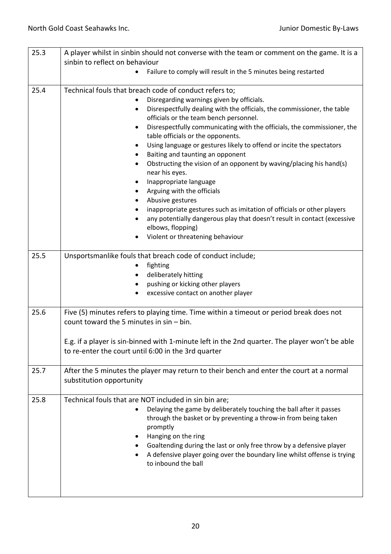| 25.3 | A player whilst in sinbin should not converse with the team or comment on the game. It is a                                                           |
|------|-------------------------------------------------------------------------------------------------------------------------------------------------------|
|      | sinbin to reflect on behaviour                                                                                                                        |
|      | Failure to comply will result in the 5 minutes being restarted                                                                                        |
| 25.4 | Technical fouls that breach code of conduct refers to;                                                                                                |
|      | Disregarding warnings given by officials.<br>٠                                                                                                        |
|      | Disrespectfully dealing with the officials, the commissioner, the table<br>$\bullet$                                                                  |
|      | officials or the team bench personnel.                                                                                                                |
|      | Disrespectfully communicating with the officials, the commissioner, the<br>$\bullet$<br>table officials or the opponents.                             |
|      | Using language or gestures likely to offend or incite the spectators                                                                                  |
|      | Baiting and taunting an opponent<br>٠                                                                                                                 |
|      | Obstructing the vision of an opponent by waving/placing his hand(s)<br>$\bullet$<br>near his eyes.                                                    |
|      | Inappropriate language<br>$\bullet$                                                                                                                   |
|      | Arguing with the officials<br>$\bullet$                                                                                                               |
|      | Abusive gestures                                                                                                                                      |
|      | inappropriate gestures such as imitation of officials or other players                                                                                |
|      | any potentially dangerous play that doesn't result in contact (excessive                                                                              |
|      | elbows, flopping)                                                                                                                                     |
|      | Violent or threatening behaviour                                                                                                                      |
| 25.5 |                                                                                                                                                       |
|      | Unsportsmanlike fouls that breach code of conduct include;<br>fighting                                                                                |
|      | deliberately hitting<br>$\bullet$                                                                                                                     |
|      | pushing or kicking other players<br>$\bullet$                                                                                                         |
|      | excessive contact on another player                                                                                                                   |
|      |                                                                                                                                                       |
| 25.6 | Five (5) minutes refers to playing time. Time within a timeout or period break does not<br>count toward the 5 minutes in $sin - bin$ .                |
|      |                                                                                                                                                       |
|      | E.g. if a player is sin-binned with 1-minute left in the 2nd quarter. The player won't be able<br>to re-enter the court until 6:00 in the 3rd quarter |
|      |                                                                                                                                                       |
| 25.7 | After the 5 minutes the player may return to their bench and enter the court at a normal                                                              |
|      | substitution opportunity                                                                                                                              |
| 25.8 | Technical fouls that are NOT included in sin bin are;                                                                                                 |
|      | Delaying the game by deliberately touching the ball after it passes                                                                                   |
|      | through the basket or by preventing a throw-in from being taken                                                                                       |
|      | promptly                                                                                                                                              |
|      | Hanging on the ring                                                                                                                                   |
|      | Goaltending during the last or only free throw by a defensive player                                                                                  |
|      | A defensive player going over the boundary line whilst offense is trying                                                                              |
|      | to inbound the ball                                                                                                                                   |
|      |                                                                                                                                                       |
|      |                                                                                                                                                       |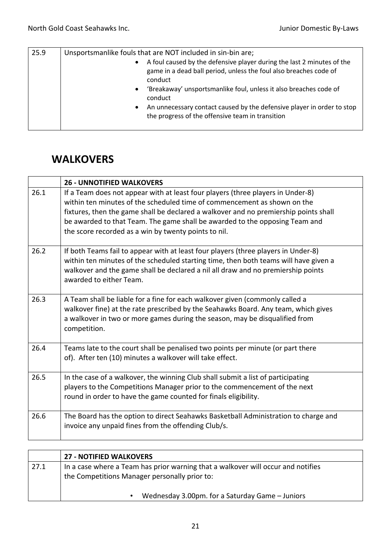| 25.9 | Unsportsmanlike fouls that are NOT included in sin-bin are;                                                                                                                                                                                                                                                                                             |
|------|---------------------------------------------------------------------------------------------------------------------------------------------------------------------------------------------------------------------------------------------------------------------------------------------------------------------------------------------------------|
|      | A foul caused by the defensive player during the last 2 minutes of the<br>$\bullet$<br>game in a dead ball period, unless the foul also breaches code of<br>conduct<br>'Breakaway' unsportsmanlike foul, unless it also breaches code of<br>$\bullet$<br>conduct<br>An unnecessary contact caused by the defensive player in order to stop<br>$\bullet$ |
|      | the progress of the offensive team in transition                                                                                                                                                                                                                                                                                                        |

## **WALKOVERS**

|      | <b>26 - UNNOTIFIED WALKOVERS</b>                                                                                                                                                                                                                                                                                                                                                           |
|------|--------------------------------------------------------------------------------------------------------------------------------------------------------------------------------------------------------------------------------------------------------------------------------------------------------------------------------------------------------------------------------------------|
| 26.1 | If a Team does not appear with at least four players (three players in Under-8)<br>within ten minutes of the scheduled time of commencement as shown on the<br>fixtures, then the game shall be declared a walkover and no premiership points shall<br>be awarded to that Team. The game shall be awarded to the opposing Team and<br>the score recorded as a win by twenty points to nil. |
| 26.2 | If both Teams fail to appear with at least four players (three players in Under-8)<br>within ten minutes of the scheduled starting time, then both teams will have given a<br>walkover and the game shall be declared a nil all draw and no premiership points<br>awarded to either Team.                                                                                                  |
| 26.3 | A Team shall be liable for a fine for each walkover given (commonly called a<br>walkover fine) at the rate prescribed by the Seahawks Board. Any team, which gives<br>a walkover in two or more games during the season, may be disqualified from<br>competition.                                                                                                                          |
| 26.4 | Teams late to the court shall be penalised two points per minute (or part there<br>of). After ten (10) minutes a walkover will take effect.                                                                                                                                                                                                                                                |
| 26.5 | In the case of a walkover, the winning Club shall submit a list of participating<br>players to the Competitions Manager prior to the commencement of the next<br>round in order to have the game counted for finals eligibility.                                                                                                                                                           |
| 26.6 | The Board has the option to direct Seahawks Basketball Administration to charge and<br>invoice any unpaid fines from the offending Club/s.                                                                                                                                                                                                                                                 |

|      | <b>27 - NOTIFIED WALKOVERS</b>                                                                                                    |
|------|-----------------------------------------------------------------------------------------------------------------------------------|
| 27.1 | In a case where a Team has prior warning that a walkover will occur and notifies<br>the Competitions Manager personally prior to: |
|      | Wednesday 3.00pm. for a Saturday Game – Juniors                                                                                   |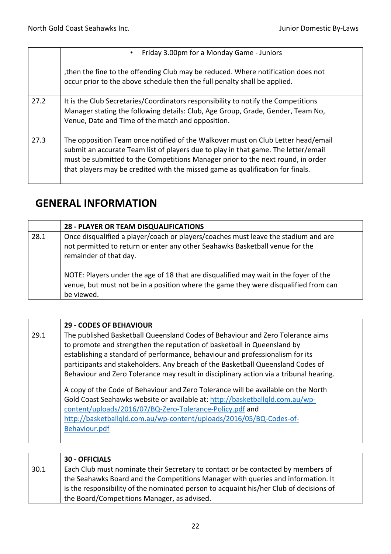|      | Friday 3.00pm for a Monday Game - Juniors<br>$\bullet$                                                                                                                                                                                                                                                                                      |
|------|---------------------------------------------------------------------------------------------------------------------------------------------------------------------------------------------------------------------------------------------------------------------------------------------------------------------------------------------|
|      | then the fine to the offending Club may be reduced. Where notification does not<br>occur prior to the above schedule then the full penalty shall be applied.                                                                                                                                                                                |
| 27.2 | It is the Club Secretaries/Coordinators responsibility to notify the Competitions<br>Manager stating the following details: Club, Age Group, Grade, Gender, Team No,<br>Venue, Date and Time of the match and opposition.                                                                                                                   |
| 27.3 | The opposition Team once notified of the Walkover must on Club Letter head/email<br>submit an accurate Team list of players due to play in that game. The letter/email<br>must be submitted to the Competitions Manager prior to the next round, in order<br>that players may be credited with the missed game as qualification for finals. |

## **GENERAL INFORMATION**

|      | <b>28 - PLAYER OR TEAM DISQUALIFICATIONS</b>                                                                                                                                                                                                                                                                                                                                              |
|------|-------------------------------------------------------------------------------------------------------------------------------------------------------------------------------------------------------------------------------------------------------------------------------------------------------------------------------------------------------------------------------------------|
| 28.1 | Once disqualified a player/coach or players/coaches must leave the stadium and are<br>not permitted to return or enter any other Seahawks Basketball venue for the<br>remainder of that day.<br>NOTE: Players under the age of 18 that are disqualified may wait in the foyer of the<br>venue, but must not be in a position where the game they were disqualified from can<br>be viewed. |

|      | <b>29 - CODES OF BEHAVIOUR</b>                                                                                                                                                                                                                                                                                                                                                                                                                                                                                                                                                                                                                                                                                                                   |
|------|--------------------------------------------------------------------------------------------------------------------------------------------------------------------------------------------------------------------------------------------------------------------------------------------------------------------------------------------------------------------------------------------------------------------------------------------------------------------------------------------------------------------------------------------------------------------------------------------------------------------------------------------------------------------------------------------------------------------------------------------------|
| 29.1 | The published Basketball Queensland Codes of Behaviour and Zero Tolerance aims<br>to promote and strengthen the reputation of basketball in Queensland by<br>establishing a standard of performance, behaviour and professionalism for its<br>participants and stakeholders. Any breach of the Basketball Queensland Codes of<br>Behaviour and Zero Tolerance may result in disciplinary action via a tribunal hearing.<br>A copy of the Code of Behaviour and Zero Tolerance will be available on the North<br>Gold Coast Seahawks website or available at: http://basketballqld.com.au/wp-<br>content/uploads/2016/07/BQ-Zero-Tolerance-Policy.pdf and<br>http://basketballqld.com.au/wp-content/uploads/2016/05/BQ-Codes-of-<br>Behaviour.pdf |

|      | <b>30 - OFFICIALS</b>                                                                  |
|------|----------------------------------------------------------------------------------------|
| 30.1 | Each Club must nominate their Secretary to contact or be contacted by members of       |
|      | the Seahawks Board and the Competitions Manager with queries and information. It       |
|      | is the responsibility of the nominated person to acquaint his/her Club of decisions of |
|      | the Board/Competitions Manager, as advised.                                            |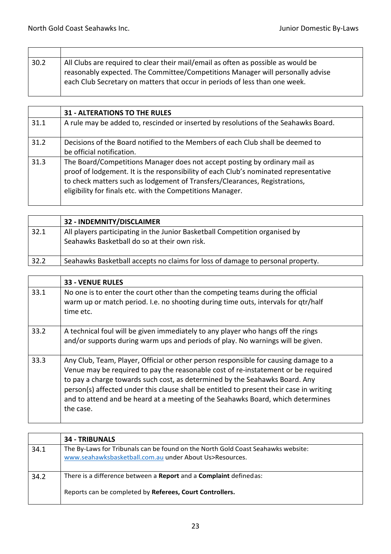| 30.2 | All Clubs are required to clear their mail/email as often as possible as would be<br>reasonably expected. The Committee/Competitions Manager will personally advise<br>each Club Secretary on matters that occur in periods of less than one week. |
|------|----------------------------------------------------------------------------------------------------------------------------------------------------------------------------------------------------------------------------------------------------|

|      | <b>31 - ALTERATIONS TO THE RULES</b>                                                                                                                                                                                                                                                                           |
|------|----------------------------------------------------------------------------------------------------------------------------------------------------------------------------------------------------------------------------------------------------------------------------------------------------------------|
| 31.1 | A rule may be added to, rescinded or inserted by resolutions of the Seahawks Board.                                                                                                                                                                                                                            |
| 31.2 | Decisions of the Board notified to the Members of each Club shall be deemed to<br>be official notification.                                                                                                                                                                                                    |
| 31.3 | The Board/Competitions Manager does not accept posting by ordinary mail as<br>proof of lodgement. It is the responsibility of each Club's nominated representative<br>to check matters such as lodgement of Transfers/Clearances, Registrations,<br>eligibility for finals etc. with the Competitions Manager. |

|      | 32 - INDEMNITY/DISCLAIMER                                                                                                   |
|------|-----------------------------------------------------------------------------------------------------------------------------|
| 32.1 | All players participating in the Junior Basketball Competition organised by<br>Seahawks Basketball do so at their own risk. |
| 32.2 | Seahawks Basketball accepts no claims for loss of damage to personal property.                                              |

|      | <b>33 - VENUE RULES</b>                                                                                                                                                                                                                                                                                                                                                                                                                             |
|------|-----------------------------------------------------------------------------------------------------------------------------------------------------------------------------------------------------------------------------------------------------------------------------------------------------------------------------------------------------------------------------------------------------------------------------------------------------|
| 33.1 | No one is to enter the court other than the competing teams during the official<br>warm up or match period. I.e. no shooting during time outs, intervals for qtr/half<br>time etc.                                                                                                                                                                                                                                                                  |
| 33.2 | A technical foul will be given immediately to any player who hangs off the rings<br>and/or supports during warm ups and periods of play. No warnings will be given.                                                                                                                                                                                                                                                                                 |
| 33.3 | Any Club, Team, Player, Official or other person responsible for causing damage to a<br>Venue may be required to pay the reasonable cost of re-instatement or be required<br>to pay a charge towards such cost, as determined by the Seahawks Board. Any<br>person(s) affected under this clause shall be entitled to present their case in writing<br>and to attend and be heard at a meeting of the Seahawks Board, which determines<br>the case. |

|      | <b>34 - TRIBUNALS</b>                                                                                                                        |
|------|----------------------------------------------------------------------------------------------------------------------------------------------|
| 34.1 | The By-Laws for Tribunals can be found on the North Gold Coast Seahawks website:<br>www.seahawksbasketball.com.au under About Us>Resources.  |
| 34.2 | There is a difference between a <b>Report</b> and a <b>Complaint</b> defined as:<br>Reports can be completed by Referees, Court Controllers. |